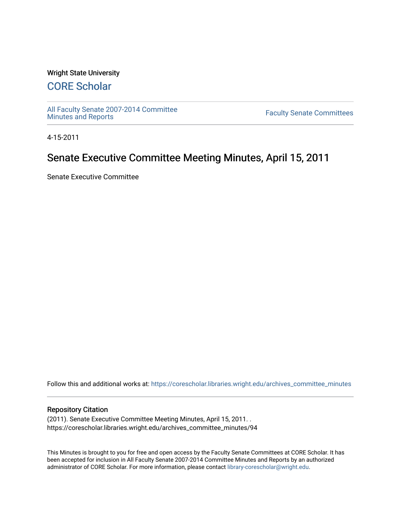#### Wright State University

# [CORE Scholar](https://corescholar.libraries.wright.edu/)

[All Faculty Senate 2007-2014 Committee](https://corescholar.libraries.wright.edu/archives_committee_minutes)

**Faculty Senate Committees** 

4-15-2011

# Senate Executive Committee Meeting Minutes, April 15, 2011

Senate Executive Committee

Follow this and additional works at: [https://corescholar.libraries.wright.edu/archives\\_committee\\_minutes](https://corescholar.libraries.wright.edu/archives_committee_minutes?utm_source=corescholar.libraries.wright.edu%2Farchives_committee_minutes%2F94&utm_medium=PDF&utm_campaign=PDFCoverPages) 

#### Repository Citation

(2011). Senate Executive Committee Meeting Minutes, April 15, 2011. . https://corescholar.libraries.wright.edu/archives\_committee\_minutes/94

This Minutes is brought to you for free and open access by the Faculty Senate Committees at CORE Scholar. It has been accepted for inclusion in All Faculty Senate 2007-2014 Committee Minutes and Reports by an authorized administrator of CORE Scholar. For more information, please contact [library-corescholar@wright.edu.](mailto:library-corescholar@wright.edu)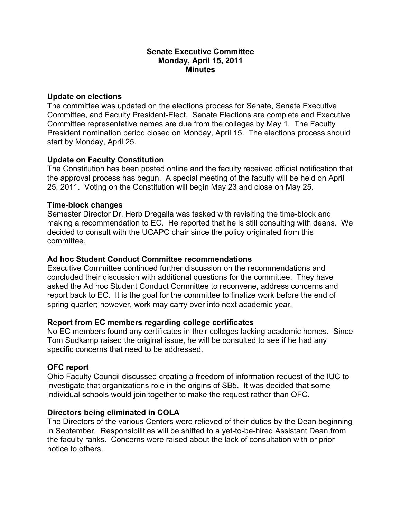#### **Senate Executive Committee Monday, April 15, 2011 Minutes**

### **Update on elections**

The committee was updated on the elections process for Senate, Senate Executive Committee, and Faculty President-Elect. Senate Elections are complete and Executive Committee representative names are due from the colleges by May 1. The Faculty President nomination period closed on Monday, April 15. The elections process should start by Monday, April 25.

# **Update on Faculty Constitution**

The Constitution has been posted online and the faculty received official notification that the approval process has begun. A special meeting of the faculty will be held on April 25, 2011. Voting on the Constitution will begin May 23 and close on May 25.

# **Time-block changes**

Semester Director Dr. Herb Dregalla was tasked with revisiting the time-block and making a recommendation to EC. He reported that he is still consulting with deans. We decided to consult with the UCAPC chair since the policy originated from this committee.

# **Ad hoc Student Conduct Committee recommendations**

Executive Committee continued further discussion on the recommendations and concluded their discussion with additional questions for the committee. They have asked the Ad hoc Student Conduct Committee to reconvene, address concerns and report back to EC. It is the goal for the committee to finalize work before the end of spring quarter; however, work may carry over into next academic year.

# **Report from EC members regarding college certificates**

No EC members found any certificates in their colleges lacking academic homes. Since Tom Sudkamp raised the original issue, he will be consulted to see if he had any specific concerns that need to be addressed.

# **OFC report**

Ohio Faculty Council discussed creating a freedom of information request of the IUC to investigate that organizations role in the origins of SB5. It was decided that some individual schools would join together to make the request rather than OFC.

# **Directors being eliminated in COLA**

The Directors of the various Centers were relieved of their duties by the Dean beginning in September. Responsibilities will be shifted to a yet-to-be-hired Assistant Dean from the faculty ranks. Concerns were raised about the lack of consultation with or prior notice to others.